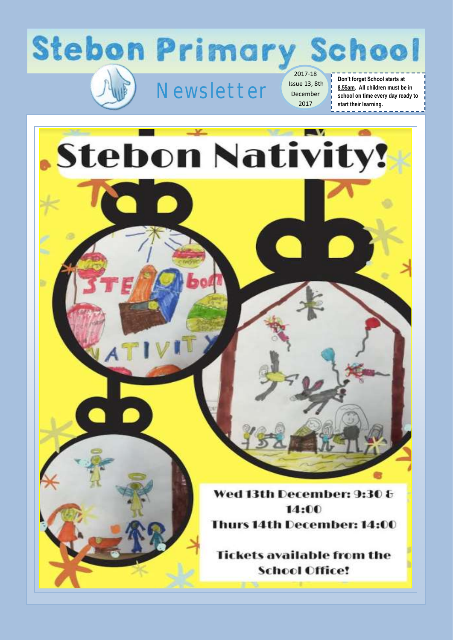



2017-18 Issue 13, 8th December 2017

#### **Don't forget School starts at 8.55am. All children must be in school on time every day ready to start their learning.**

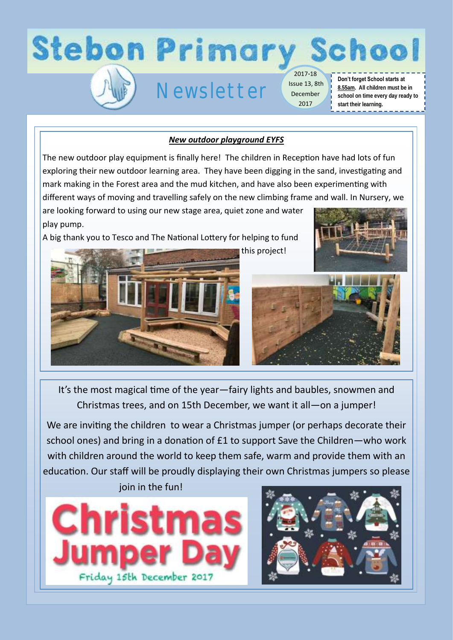

## *New outdoor playground EYFS*

The new outdoor play equipment is finally here! The children in Reception have had lots of fun exploring their new outdoor learning area. They have been digging in the sand, investigating and mark making in the Forest area and the mud kitchen, and have also been experimenting with different ways of moving and travelling safely on the new climbing frame and wall. In Nursery, we

are looking forward to using our new stage area, quiet zone and water play pump.

A big thank you to Tesco and The National Lottery for helping to fund







It's the most magical time of the year—fairy lights and baubles, snowmen and Christmas trees, and on 15th December, we want it all—on a jumper!

We are inviting the children to wear a Christmas jumper (or perhaps decorate their school ones) and bring in a donation of £1 to support Save the Children—who work with children around the world to keep them safe, warm and provide them with an education. Our staff will be proudly displaying their own Christmas jumpers so please join in the fun!